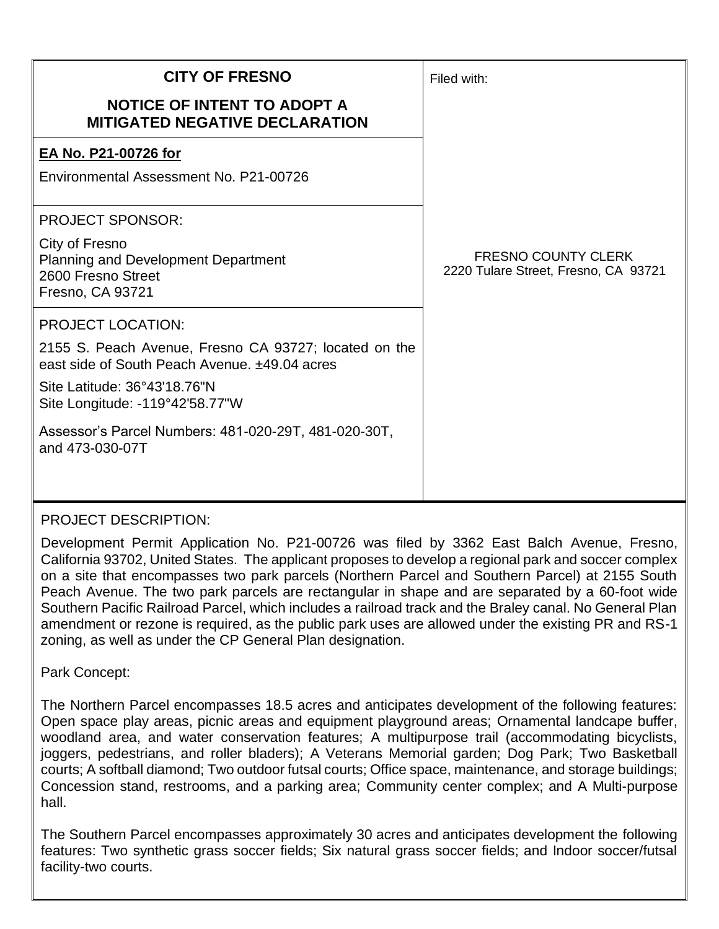| <b>CITY OF FRESNO</b>                                                                                                                  | Filed with:                                                        |
|----------------------------------------------------------------------------------------------------------------------------------------|--------------------------------------------------------------------|
| <b>NOTICE OF INTENT TO ADOPT A</b><br><b>MITIGATED NEGATIVE DECLARATION</b>                                                            |                                                                    |
| EA No. P21-00726 for                                                                                                                   |                                                                    |
| Environmental Assessment No. P21-00726                                                                                                 |                                                                    |
| <b>PROJECT SPONSOR:</b>                                                                                                                |                                                                    |
| City of Fresno<br><b>Planning and Development Department</b><br>2600 Fresno Street<br>Fresno, CA 93721                                 | <b>FRESNO COUNTY CLERK</b><br>2220 Tulare Street, Fresno, CA 93721 |
| <b>PROJECT LOCATION:</b>                                                                                                               |                                                                    |
| 2155 S. Peach Avenue, Fresno CA 93727; located on the<br>east side of South Peach Avenue. ±49.04 acres<br>Site Latitude: 36°43'18.76"N |                                                                    |
| Site Longitude: -119°42'58.77"W                                                                                                        |                                                                    |
| Assessor's Parcel Numbers: 481-020-29T, 481-020-30T,<br>and 473-030-07T                                                                |                                                                    |

## PROJECT DESCRIPTION:

Development Permit Application No. P21-00726 was filed by 3362 East Balch Avenue, Fresno, California 93702, United States. The applicant proposes to develop a regional park and soccer complex on a site that encompasses two park parcels (Northern Parcel and Southern Parcel) at 2155 South Peach Avenue. The two park parcels are rectangular in shape and are separated by a 60-foot wide Southern Pacific Railroad Parcel, which includes a railroad track and the Braley canal. No General Plan amendment or rezone is required, as the public park uses are allowed under the existing PR and RS-1 zoning, as well as under the CP General Plan designation.

Park Concept:

The Northern Parcel encompasses 18.5 acres and anticipates development of the following features: Open space play areas, picnic areas and equipment playground areas; Ornamental landcape buffer, woodland area, and water conservation features; A multipurpose trail (accommodating bicyclists, joggers, pedestrians, and roller bladers); A Veterans Memorial garden; Dog Park; Two Basketball courts; A softball diamond; Two outdoor futsal courts; Office space, maintenance, and storage buildings; Concession stand, restrooms, and a parking area; Community center complex; and A Multi-purpose hall.

The Southern Parcel encompasses approximately 30 acres and anticipates development the following features: Two synthetic grass soccer fields; Six natural grass soccer fields; and Indoor soccer/futsal facility-two courts.